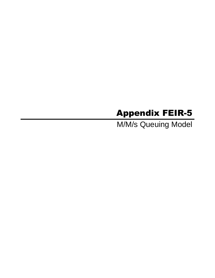## Appendix FEIR-5

M/M/s Queuing Model